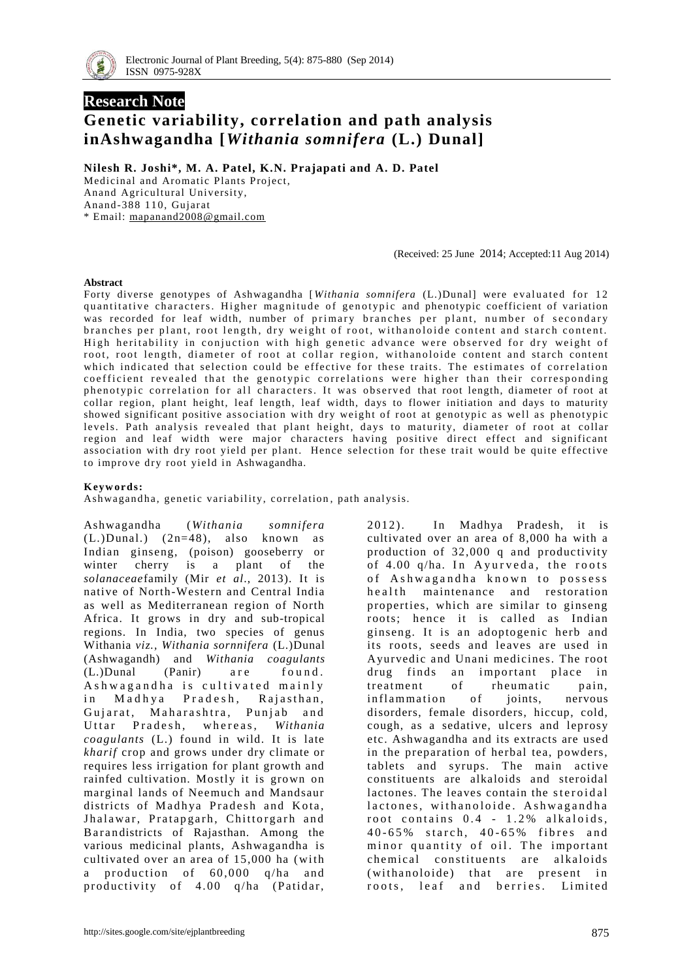

# **Research Note Genetic variability, correlation and path analysis inAshwagandha [***Withania somnifera* **(L.) Dunal]**

**Nilesh R. Joshi\*, M. A. Patel, K.N. Prajapati and A. D. Patel**

Medicinal and Aromatic Plants Project, Anand Agricultural University, Anand-388 110, Gujarat \* Email: [mapanand2008@gmail.com](mailto:mapanand2008@gmail.com)

(Received: 25 June 2014; Accepted:11 Aug 2014)

#### **Abstract**

Forty diverse genotypes of Ashwagandha [Withania somnifera (L.)Dunal] were evaluated for 12 quantitative characters. Higher magnitude of genotypic and phenotypic coefficient of variation was recorded for leaf width, number of primary branches per plant, number of secondary branches per plant, root length, dry weight of root, with anoloide content and starch content. High heritability in conjuction with high genetic advance were observed for dry weight of root, root length, diameter of root at collar region, withanoloide content and starch content which indicated that selection could be effective for these traits. The estimates of correlation coefficient revealed that the genotypic correlations were higher than their corresponding phenotypic correlation for all characters. It was observed that root length, diameter of root at collar region, plant height, leaf length, leaf width, days to flower initiation and days to maturity showed significant positive association with dry weight of root at genotypic as well as phenotypic levels. Path analysis revealed that plant height, days to maturity, diameter of root at collar region and leaf width were major characters having positive direct effect and significant association with dry root yield per plant. Hence selection for these trait would be quite effective to improve dry root yield in Ashwagandha.

### **K eyw ords:**

Ashwagandha, genetic variability, correlation, path analysis.

Ashwagandha (*Withania somnifera*  (L.)Dunal.) (2n=48), also known as Indian ginseng, (poison) gooseberry or winter cherry is a plant of the *solanaceae*family (Mir *et al*., 2013). It is native of North-Western and Central India as well as Mediterranean region of North Africa. It grows in dry and sub-tropical regions. In India, two species of genus Withania *viz., Withania sornnifera* (L.)Dunal (Ashwagandh) and *Withania coagulants*   $(L.)$ Dunal (Panir) a re found. A shwag and ha is cultivated mainly in Madhya Pradesh, Rajasthan, Gujarat, Maharashtra, Punjab and Uttar Pradesh, whereas, Withania *coagulants* (L.) found in wild. It is late *kharif* crop and grows under dry climate or requires less irrigation for plant growth and rainfed cultivation. Mostly it is grown on marginal lands of Neemuch and Mandsaur districts of Madhya Pradesh and Kota, Jhalawar, Pratapgarh, Chittorgarh and B ar an districts of Rajasthan. Among the various medicinal plants, Ashwagandha is cultivated over an area of 15,000 ha (with a production of  $60,000$  q/ha and productivity of  $4.00$  q/ha (Patidar,

2012). In Madhya Pradesh, it is cultivated over an area of 8,000 ha with a production of 32,000 q and productivity of  $4.00$  q/ha. In Ayurveda, the roots of Ashwagandha known to possess health maintenance and restoration properties, which are similar to ginseng roots; hence it is called as Indian ginseng. It is an adoptogenic herb and its roots, seeds and leaves are used in Ayurvedic and Unani medicines. The root drug finds an important place in treatment of rheumatic pain,<br>inflammation of joints, nervous in flammation of joints, nervous disorders, female disorders, hiccup, cold, cough, as a sedative, ulcers and leprosy etc. Ashwagandha and its extracts are used in the preparation of herbal tea, powders, tablets and syrups. The main active constituents are alkaloids and steroidal lactones. The leaves contain the steroidal lactones, with a noloide. Ashwagandha root contains  $0.4 - 1.2\%$  alkaloids, 40-65% starch, 40-65% fibres and minor quantity of oil. The important chemical constituents are alkaloids (with anoloide) that are present in roots, leaf and berries. Limited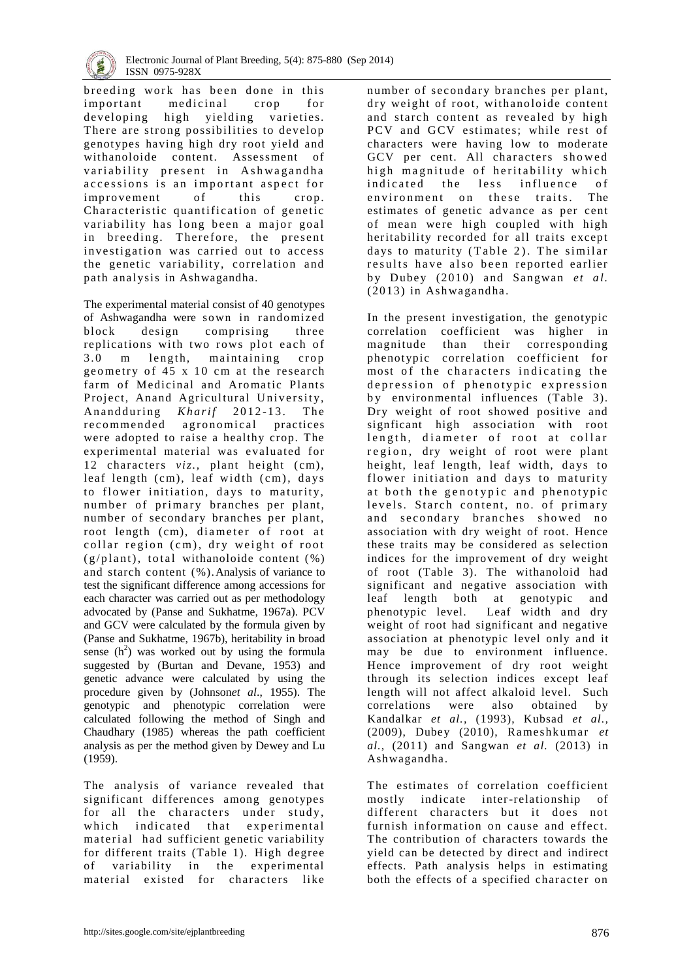

breeding work has been done in this important medicinal crop for developing high yielding varieties. There are strong possibilities to develop genotypes having high dry root yield and withanoloide content. Assessment of variability present in Ashwagandha accessions is an important aspect for improvement of this crop. Characteristic quantification of genetic variability has long been a major goal in breeding. Therefore, the present investigation was carried out to access the genetic variability, correlation and path analysis in Ashwagandha.

The experimental material consist of 40 genotypes of Ashwagandha were so wn in randomized block design comprising three replications with two rows plot each of 3.0 m length, maintaining crop geometry of  $45 \times 10$  cm at the research farm of Medicinal and Aromatic Plants Project, Anand Agricultural University, An and during *Kharif* 2012-13. The recommended agronomical practices were adopted to raise a healthy crop. The experimental material was evaluated for 12 characters *viz.,* plant height (cm), leaf length (cm), leaf width (cm), days to flower initiation, days to maturity, number of primary branches per plant, number of secondary branches per plant, root length (cm), diameter of root at collar region  $(cm)$ , dry weight of root  $(g/\text{plant})$ , total withanoloide content  $(\%)$ and starch content (%).Analysis of variance to test the significant difference among accessions for each character was carried out as per methodology advocated by (Panse and Sukhatme, 1967a). PCV and GCV were calculated by the formula given by (Panse and Sukhatme, 1967b), heritability in broad sense  $(h^2)$  was worked out by using the formula suggested by (Burtan and Devane, 1953) and genetic advance were calculated by using the procedure given by (Johnson*et al*., 1955). The genotypic and phenotypic correlation were calculated following the method of Singh and Chaudhary (1985) whereas the path coefficient analysis as per the method given by Dewey and Lu (1959).

The analysis of variance revealed that significant differences among genotypes for all the characters under study, which indicated that experimental material had sufficient genetic variability for different traits (Table 1). High degree of variability in the experimental material existed for characters like

number of secondary branches per plant, dry weight of root, withanoloide content and starch content as revealed by high PCV and GCV estimates; while rest of characters were having low to moderate GCV per cent. All characters showed high magnitude of heritability which indicated the less influence of environment on these traits. The estimates of genetic advance as per cent of mean were high coupled with high heritability recorded for all traits except days to maturity  $(Table 2)$ . The similar results have also been reported earlier by Dubey (2010) and Sangwan *et al.*  $(2013)$  in Ashwagandha.

In the present investigation, the genotypic correlation coefficient was higher in magnitude than their corresponding phenotypic correlation coefficient for most of the characters indicating the depression of phenotypic expression by environmental influences (Table 3). Dry weight of root showed positive and signficant high association with root length, diameter of root at collar region, dry weight of root were plant height, leaf length, leaf width, days to flower initiation and days to maturity at both the genotypic and phenotypic levels. Starch content, no. of primary and secondary branches showed no association with dry weight of root. Hence these traits may be considered as selection indices for the improvement of dry weight of root (Table 3). The withanoloid had significant and negative association with leaf length both at genotypic and phenotypic level. Leaf width and dry weight of root had significant and negative association at phenotypic level only and it may be due to environment influence. Hence improvement of dry root weight through its selection indices except leaf length will not affect alkaloid level. Such correlations were also obtained by Kandalkar *et al.,* (1993), Kubsad *et al.,*  (2009), Dubey (2010), Rameshkumar *et al.,* (2011) and Sangwan *et al.* (2013) in Ashwagandha.

The estimates of correlation coefficient mostly indicate inter-relationship of different characters but it does not furnish information on cause and effect. The contribution of characters towards the yield can be detected by direct and indirect effects. Path analysis helps in estimating both the effects of a specified character on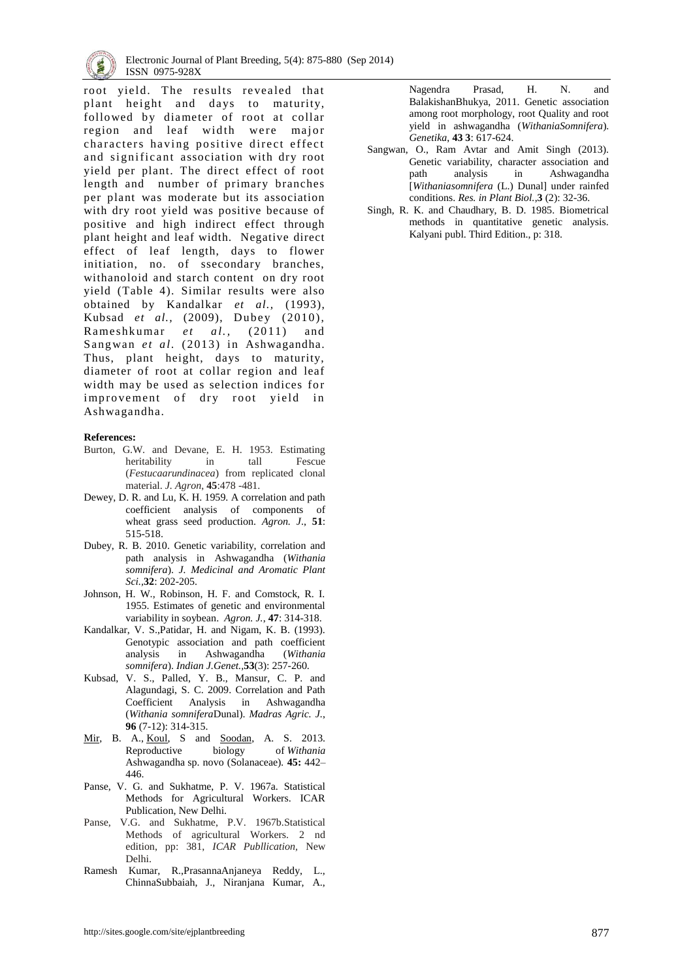

root yield. The results revealed that plant height and days to maturity, followed by diameter of root at collar region and leaf width were major characters having positive direct effect and significant association with dry root yield per plant. The direct effect of root length and number of primary branches per plant was moderate but its association with dry root yield was positive because of positive and high indirect effect through plant height and leaf width. Negative direct effect of leaf length, days to flower initiation, no. of ssecondary branches, withanoloid and starch content on dry root yield (Table 4). Similar results were also obtained by Kandalkar *et al.,* (1993), Kubsad et al., (2009), Dubey (2010), Rameshkumar *et al.*, (2011) and Sangwan *et al.* (2013) in Ashwagandha. Thus, plant height, days to maturity, diameter of root at collar region and leaf width may be used as selection indices for improvement of dry root yield in Ashwagandha.

#### **References:**

- Burton, G.W. and Devane, E. H. 1953. Estimating heritability in tall Fescue (*Festucaarundinacea*) from replicated clonal material. *J. Agron*, **45**:478 -481.
- Dewey, D. R. and Lu, K. H. 1959. A correlation and path coefficient analysis of components of wheat grass seed production. *Agron. J*., **51**: 515-518.
- Dubey, R. B. 2010. Genetic variability, correlation and path analysis in Ashwagandha (*Withania somnifera*). *J. Medicinal and Aromatic Plant Sci.,***32**: 202-205.
- Johnson, H. W., Robinson, H. F. and Comstock, R. I. 1955. Estimates of genetic and environmental variability in soybean. *Agron. J.*, **47**: 314-318.
- Kandalkar, V. S.,Patidar, H. and Nigam, K. B. (1993). Genotypic association and path coefficient analysis in Ashwagandha (*Withania somnifera*). *Indian J.Genet.,***53**(3): 257-260.
- Kubsad, V. S., Palled, Y. B., Mansur, C. P. and Alagundagi, S. C. 2009. Correlation and Path Coefficient Analysis in Ashwagandha (*Withania somnifera*Dunal). *Madras Agric. J.*, **96** (7-12): 314-315.
- [Mir,](http://www.sciencedirect.com/science/article/pii/S0926669012006577) B. A., <u>[Koul,](http://www.sciencedirect.com/science/article/pii/S0926669012006577)</u> S and <u>Soodan</u>, A. S. 2013. Reproductive biology of *Withania* Ashwagandha sp. novo (Solanaceae)*.* **[45:](http://www.sciencedirect.com/science/journal/09266690/45/supp/C)** 442– 446.
- Panse, V. G. and Sukhatme, P. V. 1967a. Statistical Methods for Agricultural Workers. ICAR Publication, New Delhi.
- Panse, V.G. and Sukhatme, P.V. 1967b.Statistical Methods of agricultural Workers. 2 nd edition, pp: 381, *ICAR Publlication,* New Delhi.
- Ramesh Kumar, R.,PrasannaAnjaneya Reddy, L., ChinnaSubbaiah, J., Niranjana Kumar, A.,

Nagendra Prasad, H. N. and BalakishanBhukya, 2011. Genetic association among root morphology, root Quality and root yield in ashwagandha (*WithaniaSomnifera*). *Genetika*, **43 3**: 617-624.

- Sangwan, O., Ram Avtar and Amit Singh (2013). Genetic variability, character association and path analysis in Ashwagandha [*Withaniasomnifera* (L.) Dunal] under rainfed conditions. *Res. in Plant Biol.*,**3** (2): 32-36.
- Singh, R. K. and Chaudhary, B. D. 1985. Biometrical methods in quantitative genetic analysis. Kalyani publ. Third Edition., p: 318.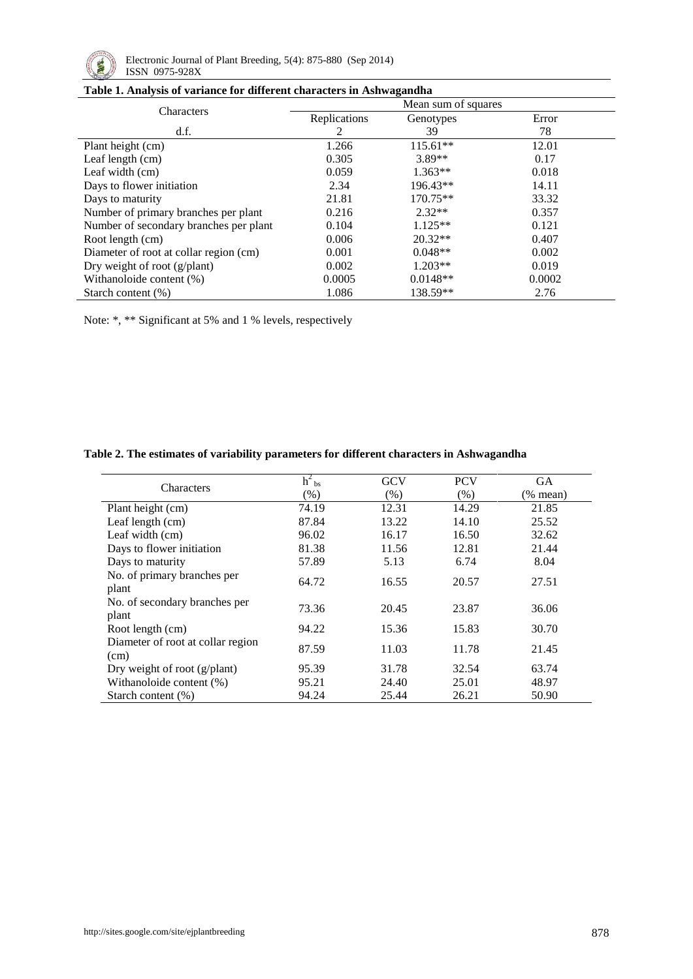

|  |  | Table 1. Analysis of variance for different characters in Ashwagandha |  |
|--|--|-----------------------------------------------------------------------|--|
|  |  |                                                                       |  |

| Tuble 1, Thin you of The nuclear units che characters in Their was another | Mean sum of squares |            |        |  |  |  |  |
|----------------------------------------------------------------------------|---------------------|------------|--------|--|--|--|--|
| Characters                                                                 | Replications        | Genotypes  | Error  |  |  |  |  |
| df.                                                                        | 2                   | 39         | 78     |  |  |  |  |
| Plant height (cm)                                                          | 1.266               | $115.61**$ | 12.01  |  |  |  |  |
| Leaf length (cm)                                                           | 0.305               | $3.89**$   | 0.17   |  |  |  |  |
| Leaf width (cm)                                                            | 0.059               | $1.363**$  | 0.018  |  |  |  |  |
| Days to flower initiation                                                  | 2.34                | 196.43**   | 14.11  |  |  |  |  |
| Days to maturity                                                           | 21.81               | 170.75**   | 33.32  |  |  |  |  |
| Number of primary branches per plant                                       | $2.32**$<br>0.216   |            | 0.357  |  |  |  |  |
| Number of secondary branches per plant                                     | 0.104               | $1.125**$  | 0.121  |  |  |  |  |
| Root length (cm)                                                           | 0.006               | $20.32**$  | 0.407  |  |  |  |  |
| Diameter of root at collar region (cm)                                     | 0.001               | $0.048**$  | 0.002  |  |  |  |  |
| Dry weight of root $(g/plant)$                                             | 0.002               | $1.203**$  | 0.019  |  |  |  |  |
| Withanoloide content (%)                                                   | 0.0005              | $0.0148**$ | 0.0002 |  |  |  |  |
| Starch content $(\%)$                                                      | 1.086               | 138.59**   | 2.76   |  |  |  |  |

Note: \*, \*\* Significant at 5% and 1 % levels, respectively

| <b>Characters</b>                         | $h^2$ <sub>bs</sub> | <b>GCV</b> | <b>PCV</b> | <b>GA</b>  |
|-------------------------------------------|---------------------|------------|------------|------------|
|                                           | $(\%)$              | $(\%)$     | $(\%)$     | $(%$ mean) |
| Plant height (cm)                         | 74.19               | 12.31      | 14.29      | 21.85      |
| Leaf length (cm)                          | 87.84               | 13.22      | 14.10      | 25.52      |
| Leaf width (cm)                           | 96.02               | 16.17      | 16.50      | 32.62      |
| Days to flower initiation                 | 81.38               | 11.56      | 12.81      | 21.44      |
| Days to maturity                          | 57.89               | 5.13       | 6.74       | 8.04       |
| No. of primary branches per<br>plant      | 64.72               | 16.55      | 20.57      | 27.51      |
| No. of secondary branches per<br>plant    | 73.36               | 20.45      | 23.87      | 36.06      |
| Root length (cm)                          | 94.22               | 15.36      | 15.83      | 30.70      |
| Diameter of root at collar region<br>(cm) | 87.59               | 11.03      | 11.78      | 21.45      |
| Dry weight of root $(g/plant)$            | 95.39               | 31.78      | 32.54      | 63.74      |
| Withanoloide content (%)                  | 95.21               | 24.40      | 25.01      | 48.97      |
| Starch content $(\%)$                     | 94.24               | 25.44      | 26.21      | 50.90      |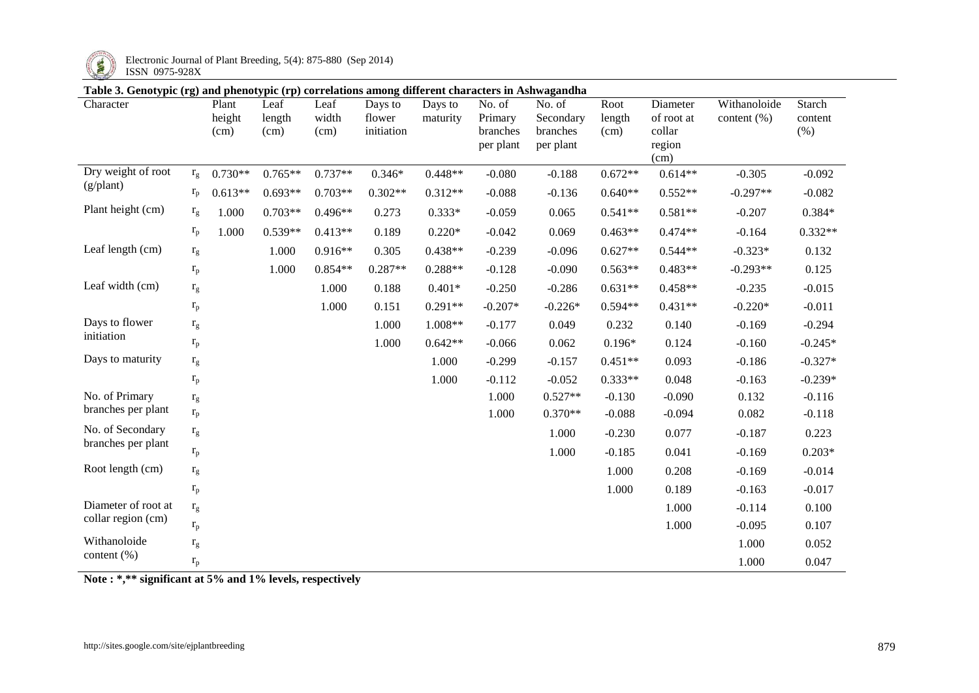

Electronic Journal of Plant Breeding, 5(4): 875-880 (Sep 2014)

## **Table 3. Genotypic (rg) and phenotypic (rp) correlations among different characters in Ashwagandha**

| галс э. Осногуріс (13) ана риспогуріс (1р) согтстанону анняд антегент спатасісту ні жупмаданана<br>Character |                         | Plant<br>height<br>(cm) | Leaf<br>length<br>(cm) | Leaf<br>width<br>(cm) | Days to<br>flower<br>initiation | Days to<br>maturity | No. of<br>Primary<br>branches<br>per plant | No. of<br>Secondary<br>branches<br>per plant | Root<br>length<br>(cm) | Diameter<br>of root at<br>collar<br>region<br>(cm) | Withanoloide<br>content $(\%)$ | Starch<br>content<br>(% ) |
|--------------------------------------------------------------------------------------------------------------|-------------------------|-------------------------|------------------------|-----------------------|---------------------------------|---------------------|--------------------------------------------|----------------------------------------------|------------------------|----------------------------------------------------|--------------------------------|---------------------------|
| Dry weight of root<br>(g/plant)                                                                              | $r_{\rm g}$             | $0.730**$               | $0.765**$              | $0.737**$             | $0.346*$                        | $0.448**$           | $-0.080$                                   | $-0.188$                                     | $0.672**$              | $0.614**$                                          | $-0.305$                       | $-0.092$                  |
|                                                                                                              | $r_{\rm p}$             | $0.613**$               | $0.693**$              | $0.703**$             | $0.302**$                       | $0.312**$           | $-0.088$                                   | $-0.136$                                     | $0.640**$              | $0.552**$                                          | $-0.297**$                     | $-0.082$                  |
| Plant height (cm)                                                                                            | $\rm r_g$               | 1.000                   | $0.703**$              | $0.496**$             | 0.273                           | $0.333*$            | $-0.059$                                   | 0.065                                        | $0.541**$              | $0.581**$                                          | $-0.207$                       | $0.384*$                  |
|                                                                                                              | $r_{p}$                 | 1.000                   | $0.539**$              | $0.413**$             | 0.189                           | $0.220*$            | $-0.042$                                   | 0.069                                        | $0.463**$              | $0.474**$                                          | $-0.164$                       | $0.332**$                 |
| Leaf length (cm)                                                                                             | $\rm r_g$               |                         | 1.000                  | $0.916**$             | 0.305                           | $0.438**$           | $-0.239$                                   | $-0.096$                                     | $0.627**$              | $0.544**$                                          | $-0.323*$                      | 0.132                     |
|                                                                                                              | $\rm r_p$               |                         | 1.000                  | $0.854**$             | $0.287**$                       | $0.288**$           | $-0.128$                                   | $-0.090$                                     | $0.563**$              | $0.483**$                                          | $-0.293**$                     | 0.125                     |
| Leaf width (cm)                                                                                              | $\rm r_g$               |                         |                        | 1.000                 | 0.188                           | $0.401*$            | $-0.250$                                   | $-0.286$                                     | $0.631**$              | $0.458**$                                          | $-0.235$                       | $-0.015$                  |
|                                                                                                              | $\mathbf{r}_\mathrm{p}$ |                         |                        | 1.000                 | 0.151                           | $0.291**$           | $-0.207*$                                  | $-0.226*$                                    | $0.594**$              | $0.431**$                                          | $-0.220*$                      | $-0.011$                  |
| Days to flower                                                                                               | $\rm r_g$               |                         |                        |                       | 1.000                           | 1.008**             | $-0.177$                                   | 0.049                                        | 0.232                  | 0.140                                              | $-0.169$                       | $-0.294$                  |
| initiation                                                                                                   | $\rm r_p$               |                         |                        |                       | 1.000                           | $0.642**$           | $-0.066$                                   | 0.062                                        | $0.196*$               | 0.124                                              | $-0.160$                       | $-0.245*$                 |
| Days to maturity                                                                                             | $\rm r_g$               |                         |                        |                       |                                 | 1.000               | $-0.299$                                   | $-0.157$                                     | $0.451**$              | 0.093                                              | $-0.186$                       | $-0.327*$                 |
|                                                                                                              | $\rm r_p$               |                         |                        |                       |                                 | 1.000               | $-0.112$                                   | $-0.052$                                     | $0.333**$              | 0.048                                              | $-0.163$                       | $-0.239*$                 |
| No. of Primary                                                                                               | $\rm r_g$               |                         |                        |                       |                                 |                     | 1.000                                      | $0.527**$                                    | $-0.130$               | $-0.090$                                           | 0.132                          | $-0.116$                  |
| branches per plant                                                                                           | $\rm r_p$               |                         |                        |                       |                                 |                     | 1.000                                      | $0.370**$                                    | $-0.088$               | $-0.094$                                           | 0.082                          | $-0.118$                  |
| No. of Secondary<br>branches per plant                                                                       | $\rm r_g$               |                         |                        |                       |                                 |                     |                                            | 1.000                                        | $-0.230$               | 0.077                                              | $-0.187$                       | 0.223                     |
|                                                                                                              | $r_{p}$                 |                         |                        |                       |                                 |                     |                                            | 1.000                                        | $-0.185$               | 0.041                                              | $-0.169$                       | $0.203*$                  |
| Root length (cm)                                                                                             | $\rm r_g$               |                         |                        |                       |                                 |                     |                                            |                                              | 1.000                  | 0.208                                              | $-0.169$                       | $-0.014$                  |
|                                                                                                              | $\mathbf{r}_\mathrm{p}$ |                         |                        |                       |                                 |                     |                                            |                                              | 1.000                  | 0.189                                              | $-0.163$                       | $-0.017$                  |
| Diameter of root at                                                                                          | $\rm r_g$               |                         |                        |                       |                                 |                     |                                            |                                              |                        | 1.000                                              | $-0.114$                       | 0.100                     |
| collar region (cm)                                                                                           | $r_{p}$                 |                         |                        |                       |                                 |                     |                                            |                                              |                        | 1.000                                              | $-0.095$                       | 0.107                     |
| Withanoloide                                                                                                 | $\rm r_g$               |                         |                        |                       |                                 |                     |                                            |                                              |                        |                                                    | 1.000                          | 0.052                     |
| content (%)                                                                                                  | $\mathbf{r}_\mathrm{p}$ |                         |                        |                       |                                 |                     |                                            |                                              |                        |                                                    | 1.000                          | 0.047                     |

**Note : \*,\*\* significant at 5% and 1% levels, respectively**